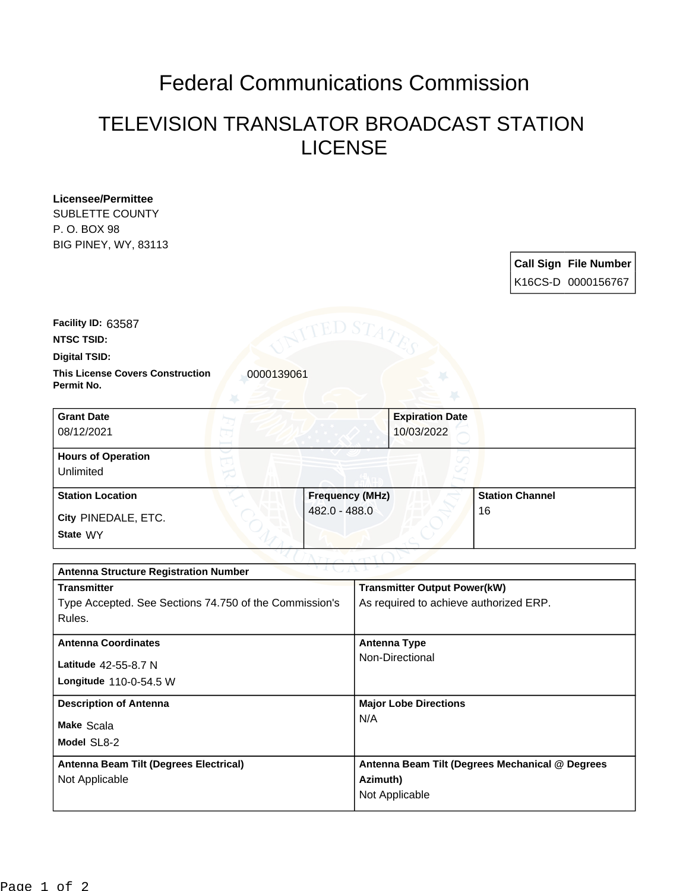## Federal Communications Commission

## TELEVISION TRANSLATOR BROADCAST STATION LICENSE

**Licensee/Permittee** SUBLETTE COUNTY P. O. BOX 98 BIG PINEY, WY, 83113

> **Call Sign File Number** K16CS-D 0000156767

**Facility ID:** 63587

**NTSC TSID:**

**Digital TSID:**

**This License Covers Construction**  0000139061 **Permit No.**

**State** WY **City** PINEDALE, ETC. **Grant Date** 08/12/2021 **Expiration Date** 10/03/2022 **Hours of Operation** Unlimited **Station Location Frequency (MHz)** 482.0 - 488.0 **Station Channel** 16

| 1 J J J T J 2<br><b>Antenna Structure Registration Number</b> |  |  |  |
|---------------------------------------------------------------|--|--|--|
| <b>Transmitter Output Power(kW)</b>                           |  |  |  |
| As required to achieve authorized ERP.                        |  |  |  |
|                                                               |  |  |  |
| Antenna Type                                                  |  |  |  |
| Non-Directional                                               |  |  |  |
|                                                               |  |  |  |
| <b>Major Lobe Directions</b>                                  |  |  |  |
| N/A                                                           |  |  |  |
|                                                               |  |  |  |
| Antenna Beam Tilt (Degrees Mechanical @ Degrees               |  |  |  |
| Azimuth)                                                      |  |  |  |
| Not Applicable                                                |  |  |  |
|                                                               |  |  |  |